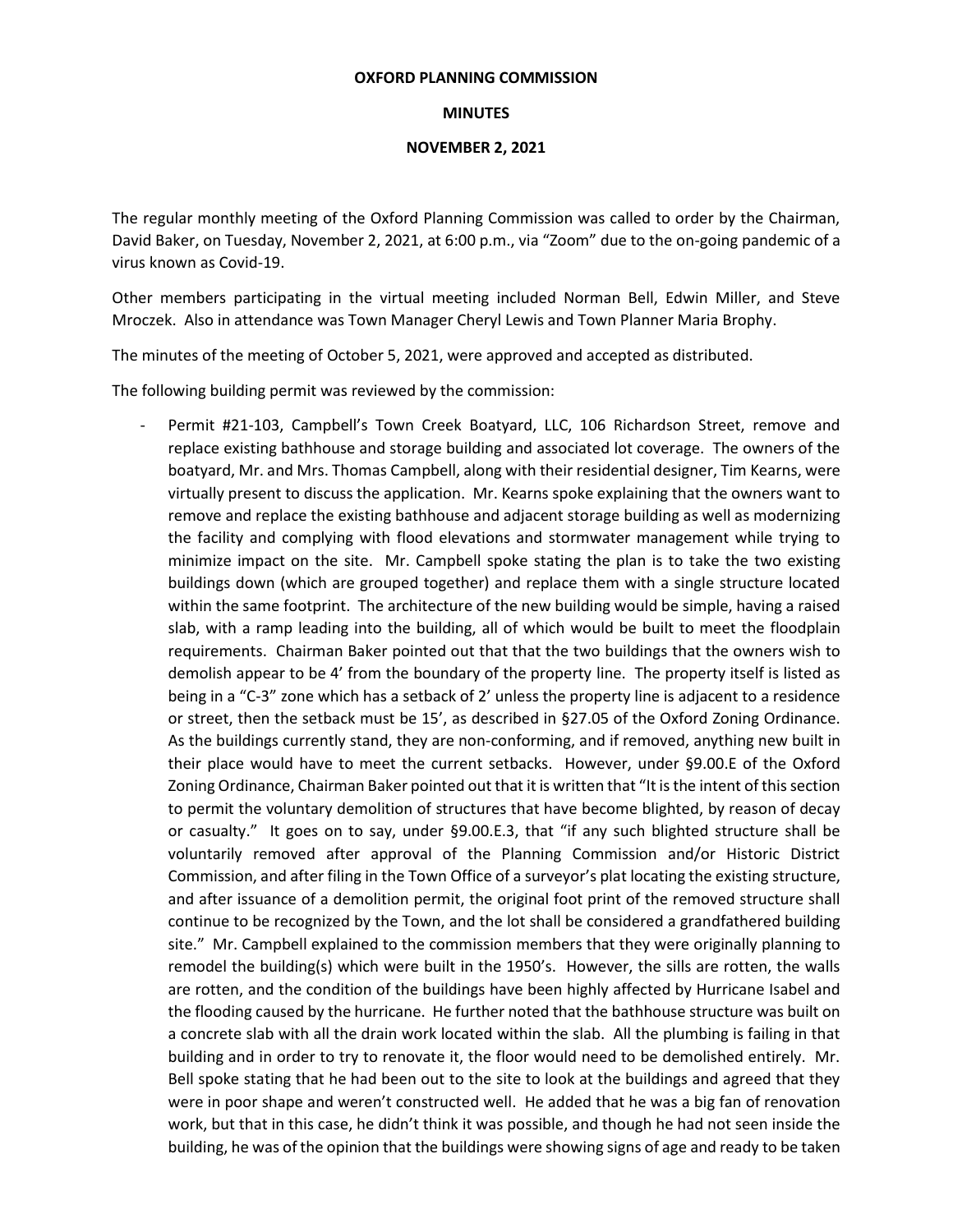## **OXFORD PLANNING COMMISSION**

## **MINUTES**

## **NOVEMBER 2, 2021**

The regular monthly meeting of the Oxford Planning Commission was called to order by the Chairman, David Baker, on Tuesday, November 2, 2021, at 6:00 p.m., via "Zoom" due to the on-going pandemic of a virus known as Covid-19.

Other members participating in the virtual meeting included Norman Bell, Edwin Miller, and Steve Mroczek. Also in attendance was Town Manager Cheryl Lewis and Town Planner Maria Brophy.

The minutes of the meeting of October 5, 2021, were approved and accepted as distributed.

The following building permit was reviewed by the commission:

Permit #21-103, Campbell's Town Creek Boatyard, LLC, 106 Richardson Street, remove and replace existing bathhouse and storage building and associated lot coverage. The owners of the boatyard, Mr. and Mrs. Thomas Campbell, along with their residential designer, Tim Kearns, were virtually present to discuss the application. Mr. Kearns spoke explaining that the owners want to remove and replace the existing bathhouse and adjacent storage building as well as modernizing the facility and complying with flood elevations and stormwater management while trying to minimize impact on the site. Mr. Campbell spoke stating the plan is to take the two existing buildings down (which are grouped together) and replace them with a single structure located within the same footprint. The architecture of the new building would be simple, having a raised slab, with a ramp leading into the building, all of which would be built to meet the floodplain requirements. Chairman Baker pointed out that that the two buildings that the owners wish to demolish appear to be 4' from the boundary of the property line. The property itself is listed as being in a "C-3" zone which has a setback of 2' unless the property line is adjacent to a residence or street, then the setback must be 15', as described in §27.05 of the Oxford Zoning Ordinance. As the buildings currently stand, they are non-conforming, and if removed, anything new built in their place would have to meet the current setbacks. However, under §9.00.E of the Oxford Zoning Ordinance, Chairman Baker pointed out that it is written that "It is the intent of this section to permit the voluntary demolition of structures that have become blighted, by reason of decay or casualty." It goes on to say, under §9.00.E.3, that "if any such blighted structure shall be voluntarily removed after approval of the Planning Commission and/or Historic District Commission, and after filing in the Town Office of a surveyor's plat locating the existing structure, and after issuance of a demolition permit, the original foot print of the removed structure shall continue to be recognized by the Town, and the lot shall be considered a grandfathered building site." Mr. Campbell explained to the commission members that they were originally planning to remodel the building(s) which were built in the 1950's. However, the sills are rotten, the walls are rotten, and the condition of the buildings have been highly affected by Hurricane Isabel and the flooding caused by the hurricane. He further noted that the bathhouse structure was built on a concrete slab with all the drain work located within the slab. All the plumbing is failing in that building and in order to try to renovate it, the floor would need to be demolished entirely. Mr. Bell spoke stating that he had been out to the site to look at the buildings and agreed that they were in poor shape and weren't constructed well. He added that he was a big fan of renovation work, but that in this case, he didn't think it was possible, and though he had not seen inside the building, he was of the opinion that the buildings were showing signs of age and ready to be taken